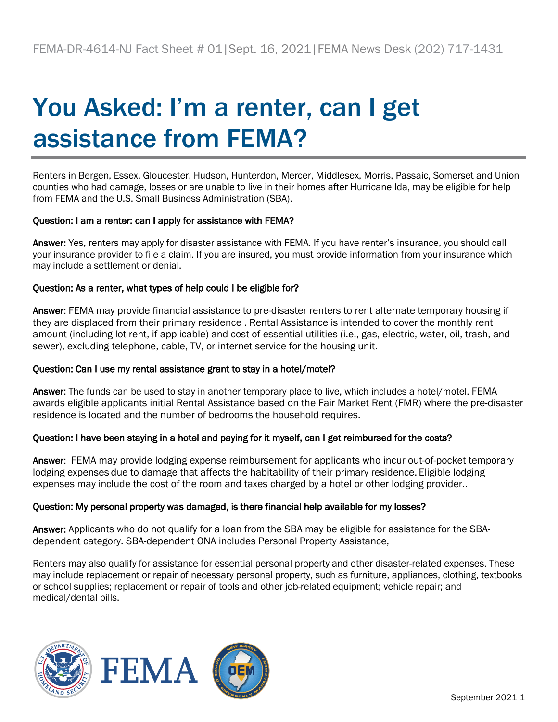# You Asked: I'm a renter, can I get assistance from FEMA?

Renters in Bergen, Essex, Gloucester, Hudson, Hunterdon, Mercer, Middlesex, Morris, Passaic, Somerset and Union counties who had damage, losses or are unable to live in their homes after Hurricane Ida, may be eligible for help from FEMA and the U.S. Small Business Administration (SBA).

### Question: I am a renter: can I apply for assistance with FEMA?

Answer: Yes, renters may apply for disaster assistance with FEMA. If you have renter's insurance, you should call your insurance provider to file a claim. If you are insured, you must provide information from your insurance which may include a settlement or denial.

## Question: As a renter, what types of help could I be eligible for?

Answer: FEMA may provide financial assistance to pre-disaster renters to rent alternate temporary housing if they are displaced from their primary residence . Rental Assistance is intended to cover the monthly rent amount (including lot rent, if applicable) and cost of essential utilities (i.e., gas, electric, water, oil, trash, and sewer), excluding telephone, cable, TV, or internet service for the housing unit.

### Question: Can I use my rental assistance grant to stay in a hotel/motel?

Answer: The funds can be used to stay in another temporary place to live, which includes a hotel/motel. FEMA awards eligible applicants initial Rental Assistance based on the Fair Market Rent (FMR) where the pre-disaster residence is located and the number of bedrooms the household requires.

### Question: I have been staying in a hotel and paying for it myself, can I get reimbursed for the costs?

Answer: FEMA may provide lodging expense reimbursement for applicants who incur out-of-pocket temporary lodging expenses due to damage that affects the habitability of their primary residence. Eligible lodging expenses may include the cost of the room and taxes charged by a hotel or other lodging provider..

### Question: My personal property was damaged, is there financial help available for my losses?

Answer: Applicants who do not qualify for a loan from the SBA may be eligible for assistance for the SBAdependent category. SBA-dependent ONA includes Personal Property Assistance,

Renters may also qualify for assistance for essential personal property and other disaster-related expenses. These may include replacement or repair of necessary personal property, such as furniture, appliances, clothing, textbooks or school supplies; replacement or repair of tools and other job-related equipment; vehicle repair; and medical/dental bills.